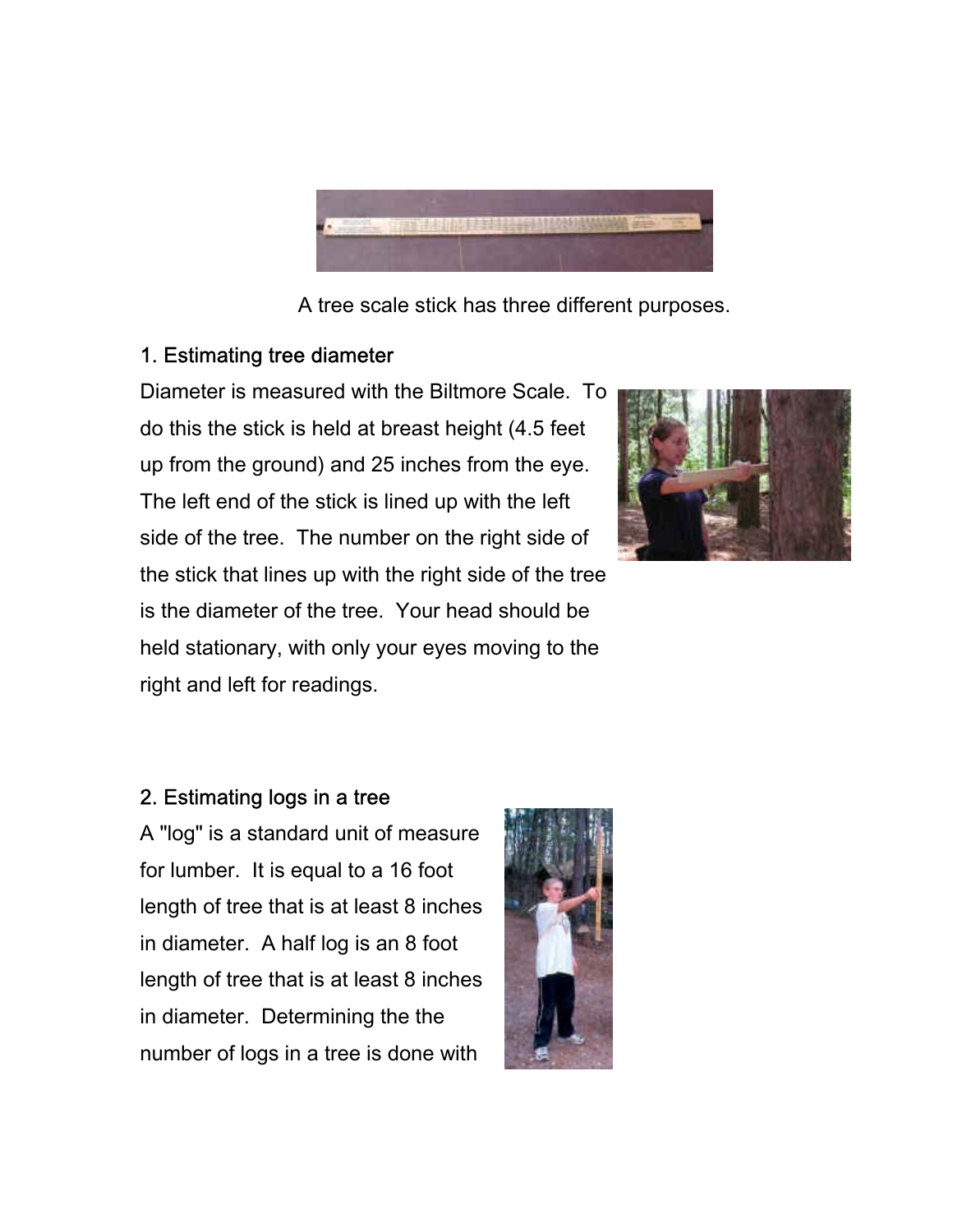

A tree scale stick has three different purposes.

## 1. Estimating tree diameter

Diameter is measured with the Biltmore Scale. To do this the stick is held at breast height (4.5 feet up from the ground) and 25 inches from the eye. The left end of the stick is lined up with the left side of the tree. The number on the right side of the stick that lines up with the right side of the tree is the diameter of the tree. Your head should be held stationary, with only your eyes moving to the right and left for readings.



## 2. Estimating logs in a tree

A "log" is a standard unit of measure for lumber. It is equal to a 16 foot length of tree that is at least 8 inches in diameter. A half log is an 8 foot length of tree that is at least 8 inches in diameter. Determining the the number of logs in a tree is done with

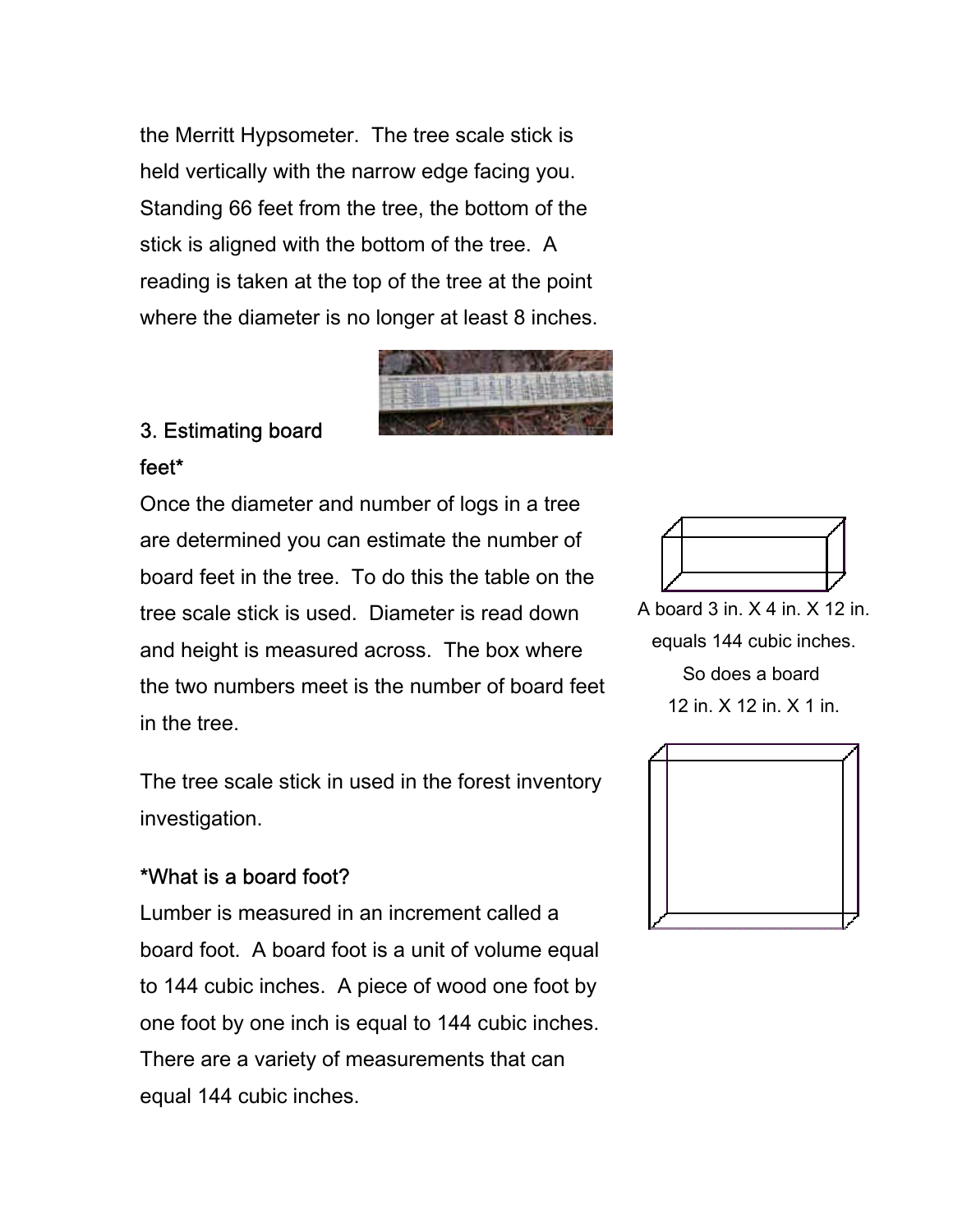the Merritt Hypsometer. The tree scale stick is held vertically with the narrow edge facing you. Standing 66 feet from the tree, the bottom of the stick is aligned with the bottom of the tree. A reading is taken at the top of the tree at the point where the diameter is no longer at least 8 inches.



## 3. Estimating board

feet\*

Once the diameter and number of logs in a tree are determined you can estimate the number of board feet in the tree. To do this the table on the tree scale stick is used. Diameter is read down and height is measured across. The box where the two numbers meet is the number of board feet in the tree.

The tree scale stick in used in the forest inventory investigation.

## \*What is a board foot?

Lumber is measured in an increment called a board foot. A board foot is a unit of volume equal to 144 cubic inches. A piece of wood one foot by one foot by one inch is equal to 144 cubic inches. There are a variety of measurements that can equal 144 cubic inches.



A board 3 in. X 4 in. X 12 in. equals 144 cubic inches. So does a board 12 in. X 12 in. X 1 in.